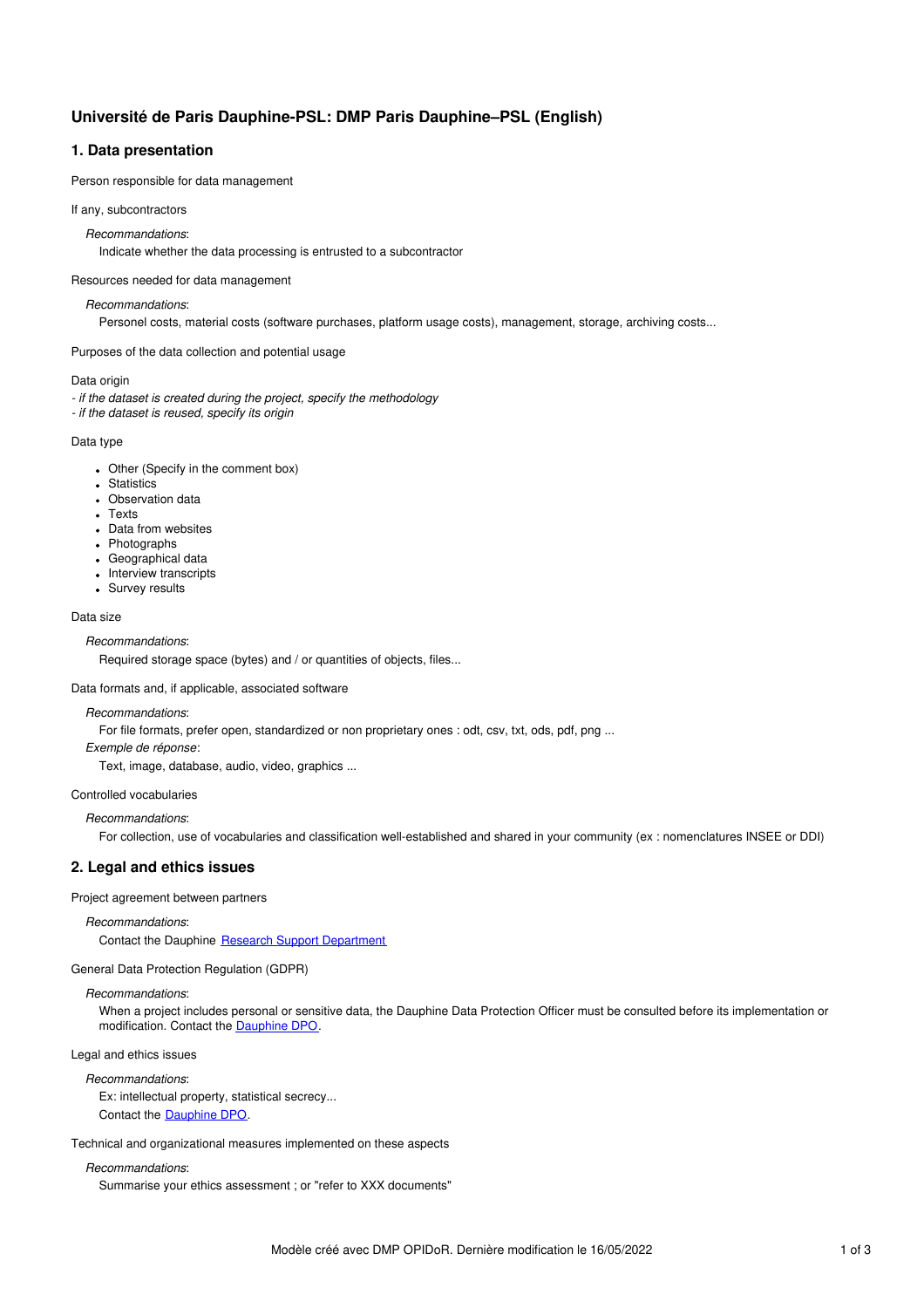# **Université de Paris Dauphine-PSL: DMP Paris Dauphine–PSL (English)**

# **1. Data presentation**

Person responsible for data management

#### If any, subcontractors

*Recommandations*:

Indicate whether the data processing is entrusted to a subcontractor

Resources needed for data management

### *Recommandations*:

Personel costs, material costs (software purchases, platform usage costs), management, storage, archiving costs...

## Purposes of the data collection and potential usage

### Data origin

*- if the dataset is created during the project, specify the methodology*

*- if the dataset is reused, specify its origin*

### Data type

- Other (Specify in the comment box)
- Statistics
- Observation data
- Texts
- Data from websites
- Photographs
- Geographical data
- Interview transcripts
- Survey results

## Data size

### *Recommandations*:

Required storage space (bytes) and / or quantities of objects, files...

Data formats and, if applicable, associated software

## *Recommandations*:

For file formats, prefer open, standardized or non proprietary ones : odt, csv, txt, ods, pdf, png ...

*Exemple de réponse*:

Text, image, database, audio, video, graphics ...

### Controlled vocabularies

## *Recommandations*:

For collection, use of vocabularies and classification well-established and shared in your community (ex : nomenclatures INSEE or DDI)

### **2. Legal and ethics issues**

### Project agreement between partners

*Recommandations*:

Contact the Dauphine Research Support [Department](https://universitedauphine.sharepoint.com/sites/intranet-dauphine/soutien-recherche/SitePages/Recherche-partenariale-et-valorisation.aspx)

# General Data Protection Regulation (GDPR)

## *Recommandations*:

When a project includes personal or sensitive data, the Dauphine Data Protection Officer must be consulted before its implementation or modification. Contact the [Dauphine](https://universitedauphine.sharepoint.com/sites/intranet-dauphine/rgpd) DPO.

## Legal and ethics issues

## *Recommandations*:

Ex: intellectual property, statistical secrecy... Contact the [Dauphine](https://universitedauphine.sharepoint.com/sites/intranet-dauphine/rgpd) DPO.

Technical and organizational measures implemented on these aspects

## *Recommandations*:

Summarise your ethics assessment ; or "refer to XXX documents"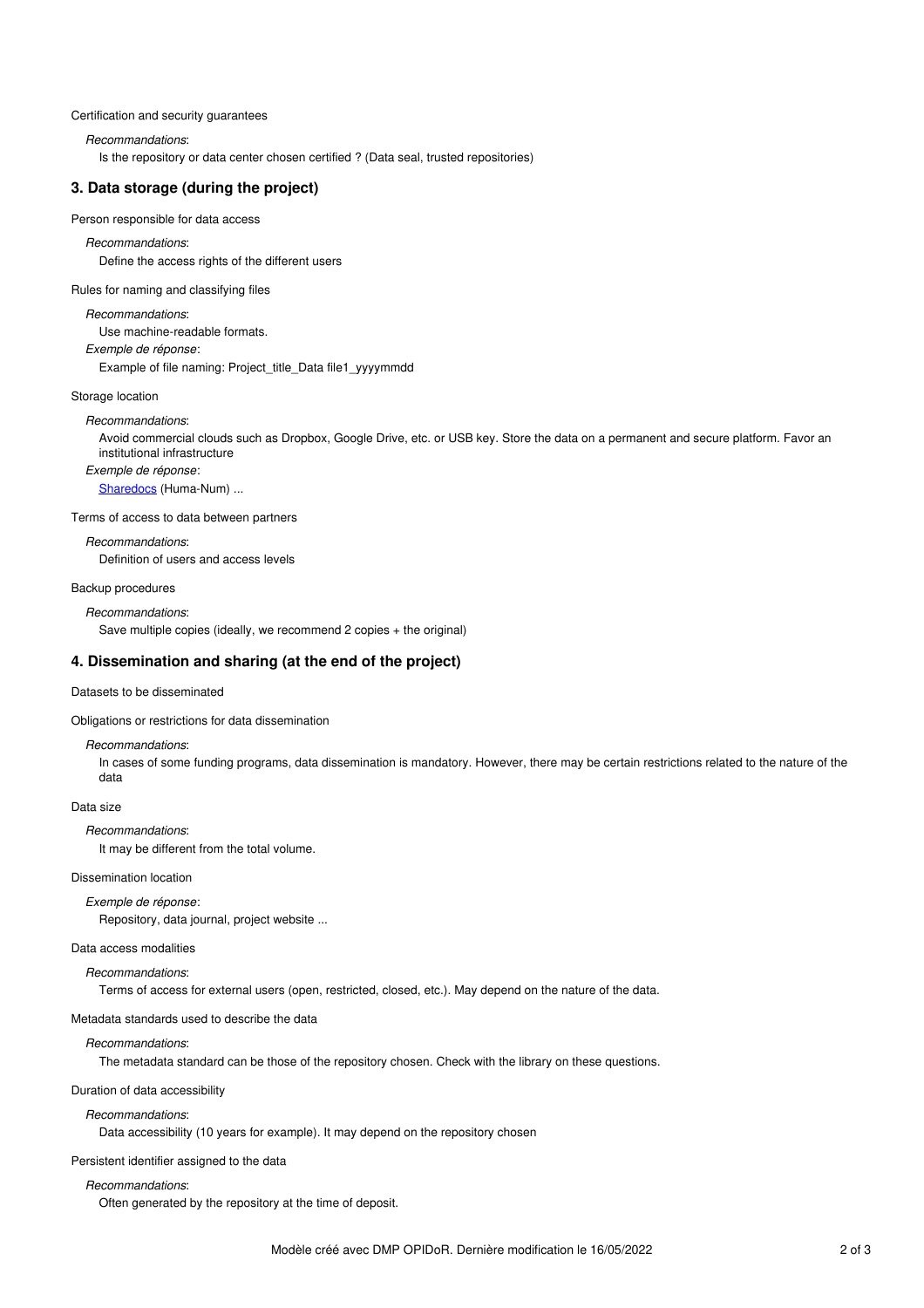#### Certification and security guarantees

*Recommandations*:

Is the repository or data center chosen certified ? (Data seal, trusted repositories)

## **3. Data storage (during the project)**

Person responsible for data access

*Recommandations*: Define the access rights of the different users

Rules for naming and classifying files

*Recommandations*: Use machine-readable formats.

*Exemple de réponse*:

Example of file naming: Project\_title\_Data file1\_yyyymmdd

Storage location

### *Recommandations*:

Avoid commercial clouds such as Dropbox, Google Drive, etc. or USB key. Store the data on a permanent and secure platform. Favor an institutional infrastructure

*Exemple de réponse*:

[Sharedocs](https://www.huma-num.fr/les-services-par-etapes/) (Huma-Num) ...

Terms of access to data between partners

*Recommandations*: Definition of users and access levels

### Backup procedures

*Recommandations*: Save multiple copies (ideally, we recommend 2 copies + the original)

### **4. Dissemination and sharing (at the end of the project)**

## Datasets to be disseminated

Obligations or restrictions for data dissemination

### *Recommandations*:

In cases of some funding programs, data dissemination is mandatory. However, there may be certain restrictions related to the nature of the data

Data size

*Recommandations*:

It may be different from the total volume.

## Dissemination location

*Exemple de réponse*: Repository, data journal, project website ...

### Data access modalities

*Recommandations*:

Terms of access for external users (open, restricted, closed, etc.). May depend on the nature of the data.

Metadata standards used to describe the data

## *Recommandations*:

The metadata standard can be those of the repository chosen. Check with the library on these questions.

#### Duration of data accessibility

### *Recommandations*:

Data accessibility (10 years for example). It may depend on the repository chosen

### Persistent identifier assigned to the data

#### *Recommandations*:

Often generated by the repository at the time of deposit.